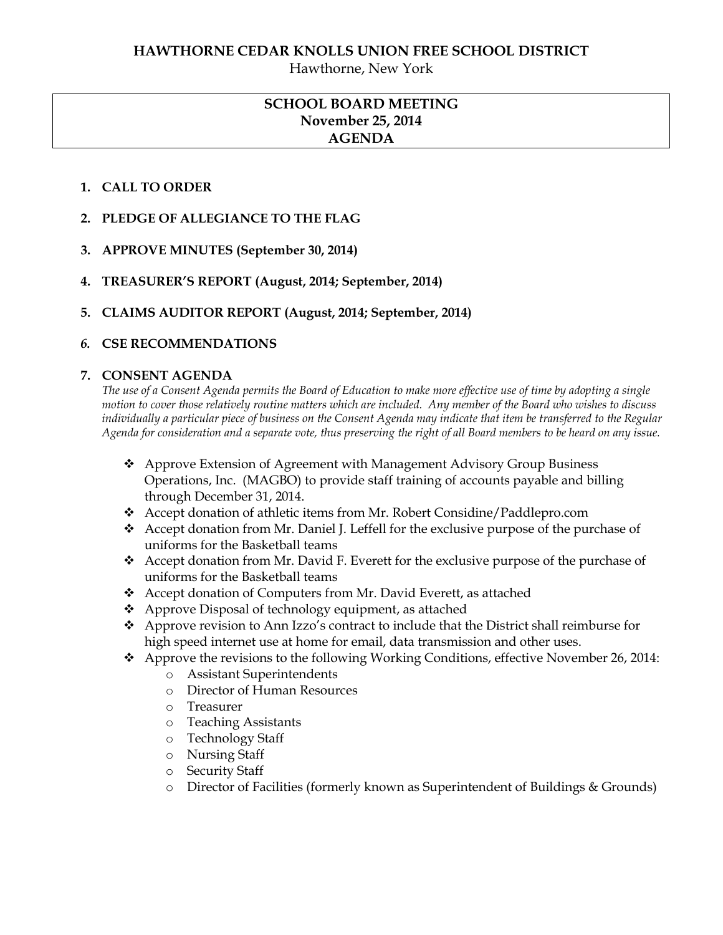Hawthorne, New York

# **SCHOOL BOARD MEETING November 25, 2014 AGENDA**

#### **1. CALL TO ORDER**

- **2. PLEDGE OF ALLEGIANCE TO THE FLAG**
- **3. APPROVE MINUTES (September 30, 2014)**
- **4. TREASURER'S REPORT (August, 2014; September, 2014)**
- **5. CLAIMS AUDITOR REPORT (August, 2014; September, 2014)**

#### *6.* **CSE RECOMMENDATIONS**

#### **7. CONSENT AGENDA**

*The use of a Consent Agenda permits the Board of Education to make more effective use of time by adopting a single motion to cover those relatively routine matters which are included. Any member of the Board who wishes to discuss individually a particular piece of business on the Consent Agenda may indicate that item be transferred to the Regular Agenda for consideration and a separate vote, thus preserving the right of all Board members to be heard on any issue.* 

- Approve Extension of Agreement with Management Advisory Group Business Operations, Inc. (MAGBO) to provide staff training of accounts payable and billing through December 31, 2014.
- Accept donation of athletic items from Mr. Robert Considine/Paddlepro.com
- Accept donation from Mr. Daniel J. Leffell for the exclusive purpose of the purchase of uniforms for the Basketball teams
- Accept donation from Mr. David F. Everett for the exclusive purpose of the purchase of uniforms for the Basketball teams
- Accept donation of Computers from Mr. David Everett, as attached
- ❖ Approve Disposal of technology equipment, as attached
- Approve revision to Ann Izzo's contract to include that the District shall reimburse for high speed internet use at home for email, data transmission and other uses.
- Approve the revisions to the following Working Conditions, effective November 26, 2014:
	- o Assistant Superintendents
	- o Director of Human Resources
	- o Treasurer
	- o Teaching Assistants
	- o Technology Staff
	- o Nursing Staff
	- o Security Staff
	- o Director of Facilities (formerly known as Superintendent of Buildings & Grounds)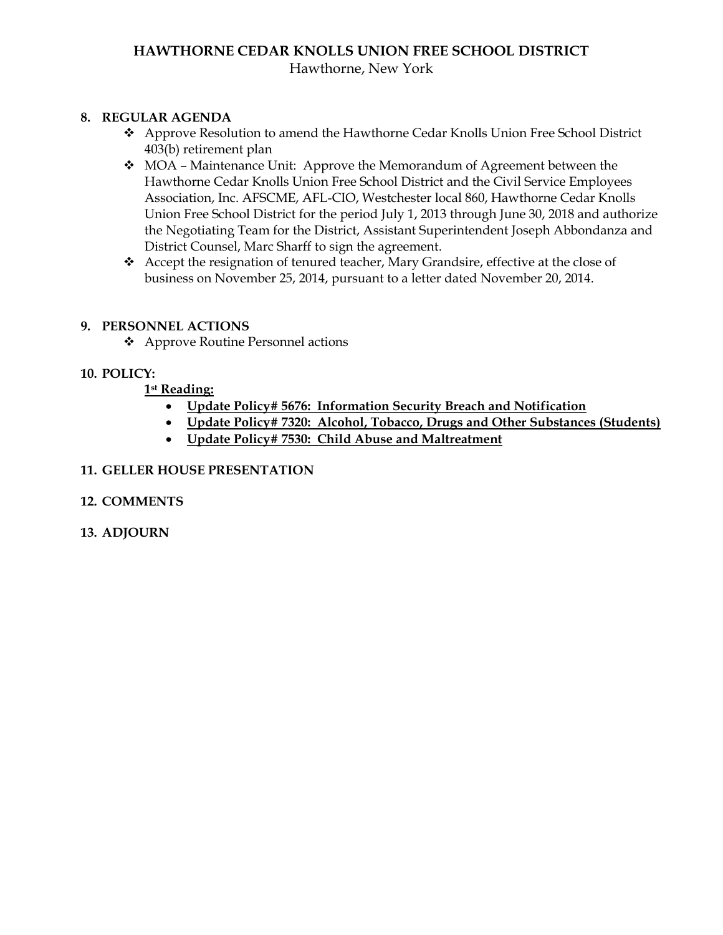# **HAWTHORNE CEDAR KNOLLS UNION FREE SCHOOL DISTRICT**

# Hawthorne, New York

# **8. REGULAR AGENDA**

- Approve Resolution to amend the Hawthorne Cedar Knolls Union Free School District 403(b) retirement plan
- \* MOA Maintenance Unit: Approve the Memorandum of Agreement between the Hawthorne Cedar Knolls Union Free School District and the Civil Service Employees Association, Inc. AFSCME, AFL-CIO, Westchester local 860, Hawthorne Cedar Knolls Union Free School District for the period July 1, 2013 through June 30, 2018 and authorize the Negotiating Team for the District, Assistant Superintendent Joseph Abbondanza and District Counsel, Marc Sharff to sign the agreement.
- Accept the resignation of tenured teacher, Mary Grandsire, effective at the close of business on November 25, 2014, pursuant to a letter dated November 20, 2014.

#### **9. PERSONNEL ACTIONS**

Approve Routine Personnel actions

#### **10. POLICY:**

#### **1st Reading:**

- **Update Policy# 5676: Information Security Breach and Notification**
- **Update Policy# 7320: Alcohol, Tobacco, Drugs and Other Substances (Students)**
- **Update Policy# 7530: Child Abuse and Maltreatment**

#### **11. GELLER HOUSE PRESENTATION**

# **12. COMMENTS**

**13. ADJOURN**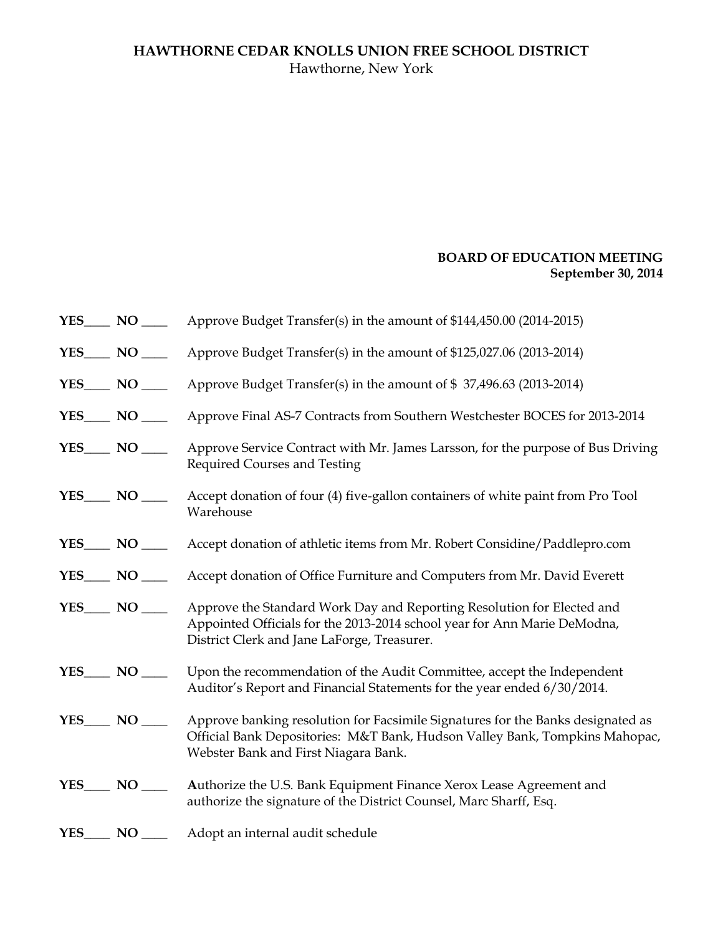# **HAWTHORNE CEDAR KNOLLS UNION FREE SCHOOL DISTRICT** Hawthorne, New York

# **BOARD OF EDUCATION MEETING September 30, 2014**

|                  | Approve Budget Transfer(s) in the amount of \$144,450.00 (2014-2015)                                                                                                                                   |
|------------------|--------------------------------------------------------------------------------------------------------------------------------------------------------------------------------------------------------|
|                  | Approve Budget Transfer(s) in the amount of \$125,027.06 (2013-2014)                                                                                                                                   |
| $YES$ NO ______  | Approve Budget Transfer(s) in the amount of \$37,496.63 (2013-2014)                                                                                                                                    |
| $YES$ NO ______  | Approve Final AS-7 Contracts from Southern Westchester BOCES for 2013-2014                                                                                                                             |
| $YES$ NO _______ | Approve Service Contract with Mr. James Larsson, for the purpose of Bus Driving<br>Required Courses and Testing                                                                                        |
|                  | Accept donation of four (4) five-gallon containers of white paint from Pro Tool<br>Warehouse                                                                                                           |
|                  | Accept donation of athletic items from Mr. Robert Considine/Paddlepro.com                                                                                                                              |
|                  | Accept donation of Office Furniture and Computers from Mr. David Everett                                                                                                                               |
| $YES$ NO _______ | Approve the Standard Work Day and Reporting Resolution for Elected and<br>Appointed Officials for the 2013-2014 school year for Ann Marie DeModna,<br>District Clerk and Jane LaForge, Treasurer.      |
| $YES$ NO ______  | Upon the recommendation of the Audit Committee, accept the Independent<br>Auditor's Report and Financial Statements for the year ended 6/30/2014.                                                      |
| $YES$ NO ______  | Approve banking resolution for Facsimile Signatures for the Banks designated as<br>Official Bank Depositories: M&T Bank, Hudson Valley Bank, Tompkins Mahopac,<br>Webster Bank and First Niagara Bank. |
|                  | Authorize the U.S. Bank Equipment Finance Xerox Lease Agreement and<br>authorize the signature of the District Counsel, Marc Sharff, Esq.                                                              |
| YES NO           | Adopt an internal audit schedule                                                                                                                                                                       |